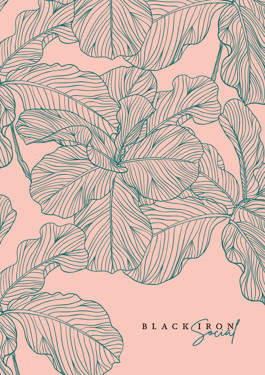